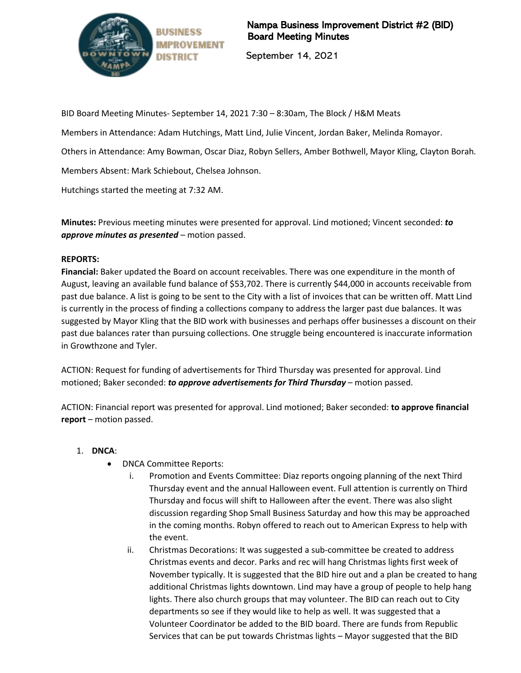

Nampa Business Improvement District #2 (BID) Board Meeting Minutes

September 14, 2021

BID Board Meeting Minutes- September 14, 2021 7:30 – 8:30am, The Block / H&M Meats

Members in Attendance: Adam Hutchings, Matt Lind, Julie Vincent, Jordan Baker, Melinda Romayor.

Others in Attendance: Amy Bowman, Oscar Diaz, Robyn Sellers, Amber Bothwell, Mayor Kling, Clayton Borah.

Members Absent: Mark Schiebout, Chelsea Johnson.

Hutchings started the meeting at 7:32 AM.

**Minutes:** Previous meeting minutes were presented for approval. Lind motioned; Vincent seconded: *to approve minutes as presented* – motion passed.

## **REPORTS:**

**Financial:** Baker updated the Board on account receivables. There was one expenditure in the month of August, leaving an available fund balance of \$53,702. There is currently \$44,000 in accounts receivable from past due balance. A list is going to be sent to the City with a list of invoices that can be written off. Matt Lind is currently in the process of finding a collections company to address the larger past due balances. It was suggested by Mayor Kling that the BID work with businesses and perhaps offer businesses a discount on their past due balances rater than pursuing collections. One struggle being encountered is inaccurate information in Growthzone and Tyler.

ACTION: Request for funding of advertisements for Third Thursday was presented for approval. Lind motioned; Baker seconded: *to approve advertisements for Third Thursday* – motion passed.

ACTION: Financial report was presented for approval. Lind motioned; Baker seconded: **to approve financial report** – motion passed.

## 1. **DNCA**:

- DNCA Committee Reports:
	- i. Promotion and Events Committee: Diaz reports ongoing planning of the next Third Thursday event and the annual Halloween event. Full attention is currently on Third Thursday and focus will shift to Halloween after the event. There was also slight discussion regarding Shop Small Business Saturday and how this may be approached in the coming months. Robyn offered to reach out to American Express to help with the event.
	- ii. Christmas Decorations: It was suggested a sub-committee be created to address Christmas events and decor. Parks and rec will hang Christmas lights first week of November typically. It is suggested that the BID hire out and a plan be created to hang additional Christmas lights downtown. Lind may have a group of people to help hang lights. There also church groups that may volunteer. The BID can reach out to City departments so see if they would like to help as well. It was suggested that a Volunteer Coordinator be added to the BID board. There are funds from Republic Services that can be put towards Christmas lights – Mayor suggested that the BID